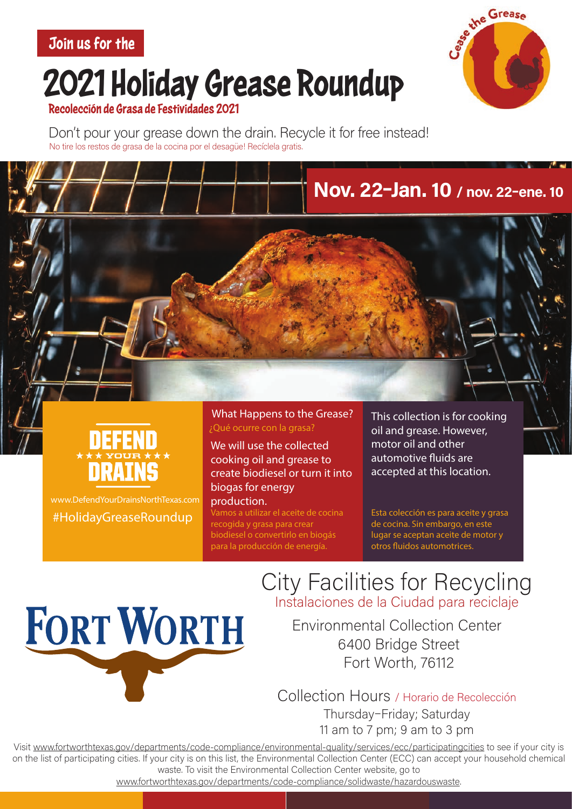Join us for the

## 2021 Holiday Grease Roundup



#### Recolección de Grasa de Festividades 2021

Don't pour your grease down the drain. Recycle it for free instead! No tire los restos de grasa de la cocina por el desagüe! Recíclela gratis.



www.DefendYourDrainsNorthTexas.com #HolidayGreaseRoundup

**FORT WORTH** 

What Happens to the Grease? ¿Qué ocurre con la grasa?

We will use the collected cooking oil and grease to create biodiesel or turn it into biogas for energy production.

.<br>Vamos a utilizar el aceite de cocina recogida y grasa para crear biodiesel o convertirlo en biogás para la producción de energía.

This collection is for cooking oil and grease. However, motor oil and other automotive fluids are accepted at this location.

Nov. 22-Jan. 10 / nov. 22-ene. 10

Esta colección es para aceite y grasa de cocina. Sin embargo, en este lugar se aceptan aceite de motor y otros fluidos automotrices.

**City Facilities for Recycling** Instalaciones de la Ciudad para reciclaje

**Environmental Collection Center** 6400 Bridge Street Fort Worth, 76112

Collection Hours / Horario de Recolección Thursday-Friday; Saturday 11 am to 7 pm; 9 am to 3 pm

Visit www.fortworthtexas.gov/departments/code-compliance/environmental-quality/services/ecc/participatingcities to see if your city is on the list of participating cities. If your city is on this list, the Environmental Collection Center (ECC) can accept your household chemical waste. To visit the Environmental Collection Center website, go to

www.fortworthtexas.gov/departments/code-compliance/solidwaste/hazardouswaste.